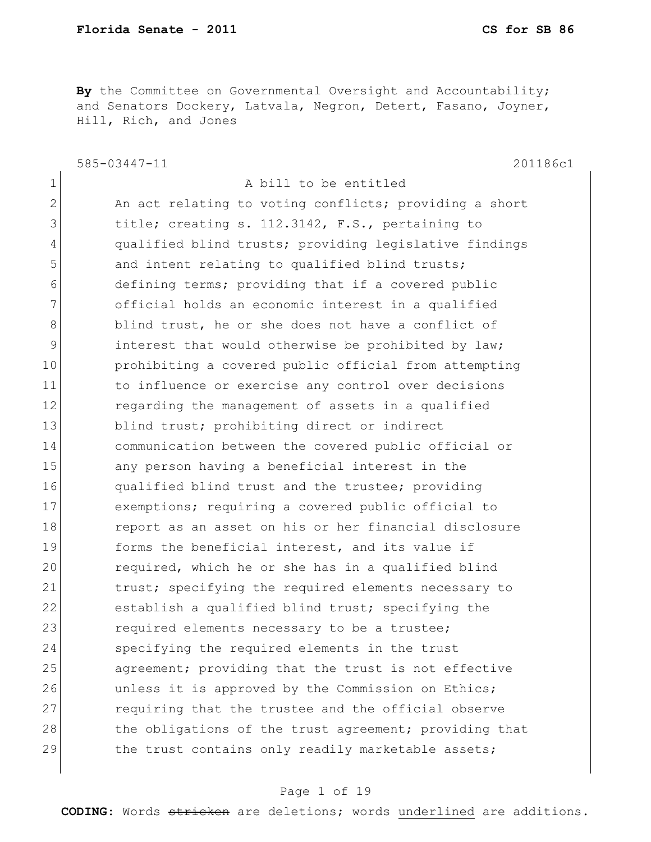**By** the Committee on Governmental Oversight and Accountability; and Senators Dockery, Latvala, Negron, Detert, Fasano, Joyner, Hill, Rich, and Jones

585-03447-11 201186c1

 $\mathbf{L}$ 

| 1            | A bill to be entitled                                  |
|--------------|--------------------------------------------------------|
| $\mathbf{2}$ | An act relating to voting conflicts; providing a short |
| 3            | title; creating s. 112.3142, F.S., pertaining to       |
| 4            | qualified blind trusts; providing legislative findings |
| 5            | and intent relating to qualified blind trusts;         |
| 6            | defining terms; providing that if a covered public     |
| 7            | official holds an economic interest in a qualified     |
| 8            | blind trust, he or she does not have a conflict of     |
| 9            | interest that would otherwise be prohibited by law;    |
| 10           | prohibiting a covered public official from attempting  |
| 11           | to influence or exercise any control over decisions    |
| 12           | regarding the management of assets in a qualified      |
| 13           | blind trust; prohibiting direct or indirect            |
| 14           | communication between the covered public official or   |
| 15           | any person having a beneficial interest in the         |
| 16           | qualified blind trust and the trustee; providing       |
| 17           | exemptions; requiring a covered public official to     |
| 18           | report as an asset on his or her financial disclosure  |
| 19           | forms the beneficial interest, and its value if        |
| 20           | required, which he or she has in a qualified blind     |
| 21           | trust; specifying the required elements necessary to   |
| 22           | establish a qualified blind trust; specifying the      |
| 23           | required elements necessary to be a trustee;           |
| 24           | specifying the required elements in the trust          |
| 25           | agreement; providing that the trust is not effective   |
| 26           | unless it is approved by the Commission on Ethics;     |
| 27           | requiring that the trustee and the official observe    |
| 28           | the obligations of the trust agreement; providing that |
| 29           | the trust contains only readily marketable assets;     |
|              |                                                        |

## Page 1 of 19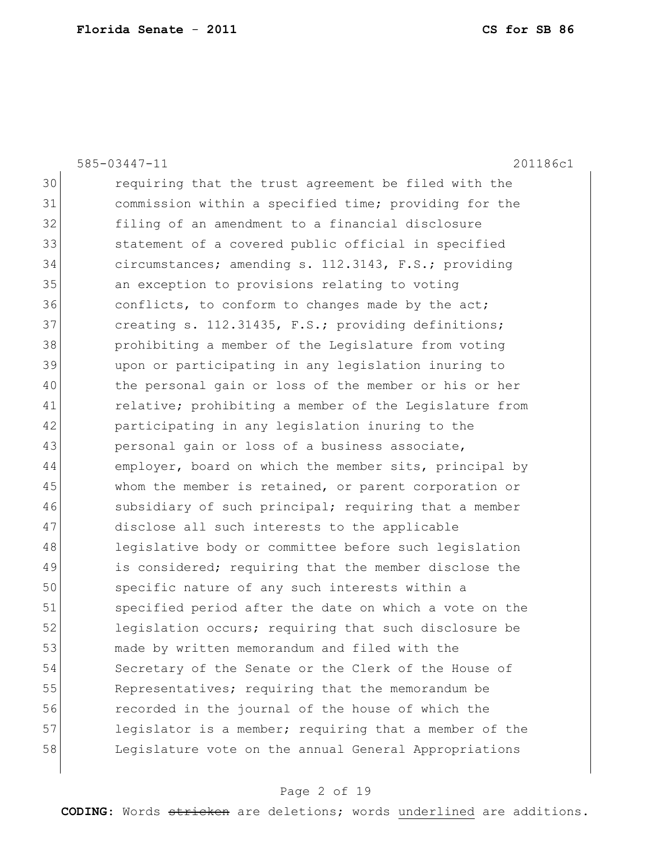585-03447-11 201186c1 30 requiring that the trust agreement be filed with the 31 commission within a specified time; providing for the 32 filing of an amendment to a financial disclosure 33 31 statement of a covered public official in specified 34 circumstances; amending s. 112.3143, F.S.; providing 35 an exception to provisions relating to voting 36 conflicts, to conform to changes made by the act; 37 creating s. 112.31435, F.S.; providing definitions; 38 prohibiting a member of the Legislature from voting 39 upon or participating in any legislation inuring to 40 the personal gain or loss of the member or his or her 41 relative; prohibiting a member of the Legislature from 42 participating in any legislation inuring to the 43 personal gain or loss of a business associate, 44 employer, board on which the member sits, principal by 45 whom the member is retained, or parent corporation or 46 subsidiary of such principal; requiring that a member 47 disclose all such interests to the applicable 48 legislative body or committee before such legislation 49 is considered; requiring that the member disclose the 50 specific nature of any such interests within a 51 specified period after the date on which a vote on the 52 legislation occurs; requiring that such disclosure be 53 made by written memorandum and filed with the 54 Secretary of the Senate or the Clerk of the House of 55 Representatives; requiring that the memorandum be 56 recorded in the journal of the house of which the 57 legislator is a member; requiring that a member of the 58 Legislature vote on the annual General Appropriations

#### Page 2 of 19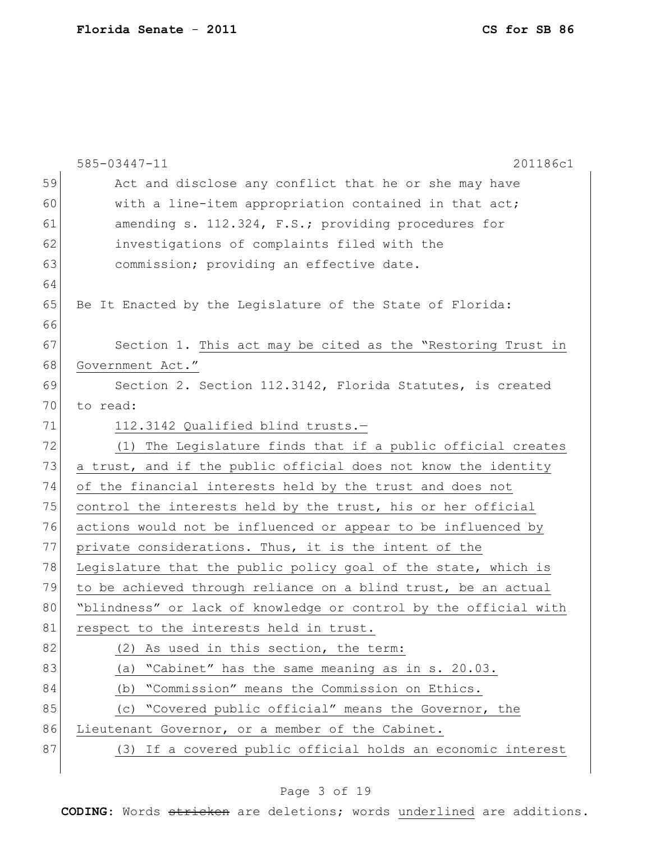|    | 201186c1<br>585-03447-11                                         |
|----|------------------------------------------------------------------|
| 59 | Act and disclose any conflict that he or she may have            |
| 60 | with a line-item appropriation contained in that act;            |
| 61 | amending s. 112.324, F.S.; providing procedures for              |
| 62 | investigations of complaints filed with the                      |
| 63 | commission; providing an effective date.                         |
| 64 |                                                                  |
| 65 | Be It Enacted by the Legislature of the State of Florida:        |
| 66 |                                                                  |
| 67 | Section 1. This act may be cited as the "Restoring Trust in      |
| 68 | Government Act."                                                 |
| 69 | Section 2. Section 112.3142, Florida Statutes, is created        |
| 70 | to read:                                                         |
| 71 | 112.3142 Qualified blind trusts.-                                |
| 72 | The Legislature finds that if a public official creates<br>(1)   |
| 73 | a trust, and if the public official does not know the identity   |
| 74 | of the financial interests held by the trust and does not        |
| 75 | control the interests held by the trust, his or her official     |
| 76 | actions would not be influenced or appear to be influenced by    |
| 77 | private considerations. Thus, it is the intent of the            |
| 78 | Legislature that the public policy goal of the state, which is   |
| 79 | to be achieved through reliance on a blind trust, be an actual   |
| 80 | "blindness" or lack of knowledge or control by the official with |
| 81 | respect to the interests held in trust.                          |
| 82 | As used in this section, the term:<br>(2)                        |
| 83 | "Cabinet" has the same meaning as in s. 20.03.<br>(a)            |
| 84 | "Commission" means the Commission on Ethics.<br>(b)              |
| 85 | "Covered public official" means the Governor, the<br>(C)         |
| 86 | Lieutenant Governor, or a member of the Cabinet.                 |
| 87 | (3) If a covered public official holds an economic interest      |
|    |                                                                  |

# Page 3 of 19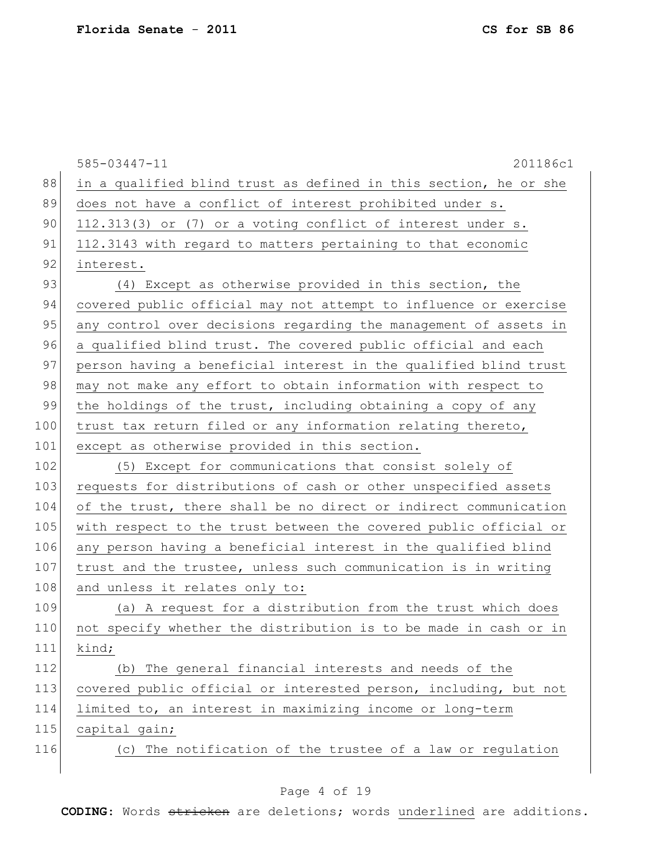|     | 585-03447-11<br>201186c1                                         |
|-----|------------------------------------------------------------------|
| 88  | in a qualified blind trust as defined in this section, he or she |
| 89  | does not have a conflict of interest prohibited under s.         |
| 90  | 112.313(3) or (7) or a voting conflict of interest under s.      |
| 91  | 112.3143 with regard to matters pertaining to that economic      |
| 92  | interest.                                                        |
| 93  | (4) Except as otherwise provided in this section, the            |
| 94  | covered public official may not attempt to influence or exercise |
| 95  | any control over decisions regarding the management of assets in |
| 96  | a qualified blind trust. The covered public official and each    |
| 97  | person having a beneficial interest in the qualified blind trust |
| 98  | may not make any effort to obtain information with respect to    |
| 99  | the holdings of the trust, including obtaining a copy of any     |
| 100 | trust tax return filed or any information relating thereto,      |
| 101 | except as otherwise provided in this section.                    |
| 102 | (5) Except for communications that consist solely of             |
| 103 | requests for distributions of cash or other unspecified assets   |
| 104 | of the trust, there shall be no direct or indirect communication |
| 105 | with respect to the trust between the covered public official or |
| 106 | any person having a beneficial interest in the qualified blind   |
| 107 | trust and the trustee, unless such communication is in writing   |
| 108 | and unless it relates only to:                                   |
| 109 | (a) A request for a distribution from the trust which does       |
| 110 | not specify whether the distribution is to be made in cash or in |
| 111 | kind;                                                            |
| 112 | (b) The general financial interests and needs of the             |
| 113 | covered public official or interested person, including, but not |
| 114 | limited to, an interest in maximizing income or long-term        |
| 115 | capital gain;                                                    |
| 116 | (c) The notification of the trustee of a law or regulation       |
|     |                                                                  |

# Page 4 of 19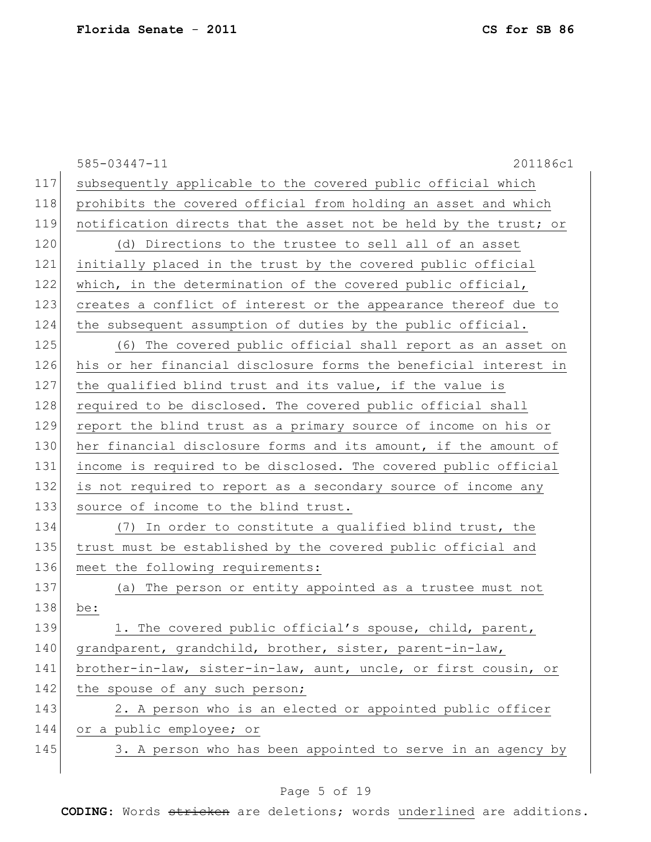|     | 585-03447-11<br>201186c1                                         |
|-----|------------------------------------------------------------------|
| 117 | subsequently applicable to the covered public official which     |
| 118 | prohibits the covered official from holding an asset and which   |
| 119 | notification directs that the asset not be held by the trust; or |
| 120 | (d) Directions to the trustee to sell all of an asset            |
| 121 | initially placed in the trust by the covered public official     |
| 122 | which, in the determination of the covered public official,      |
| 123 | creates a conflict of interest or the appearance thereof due to  |
| 124 | the subsequent assumption of duties by the public official.      |
| 125 | (6) The covered public official shall report as an asset on      |
| 126 | his or her financial disclosure forms the beneficial interest in |
| 127 | the qualified blind trust and its value, if the value is         |
| 128 | required to be disclosed. The covered public official shall      |
| 129 | report the blind trust as a primary source of income on his or   |
| 130 | her financial disclosure forms and its amount, if the amount of  |
| 131 | income is required to be disclosed. The covered public official  |
| 132 | is not required to report as a secondary source of income any    |
| 133 | source of income to the blind trust.                             |
| 134 | (7) In order to constitute a qualified blind trust, the          |
| 135 | trust must be established by the covered public official and     |
| 136 | meet the following requirements:                                 |
| 137 | (a) The person or entity appointed as a trustee must not         |
| 138 | be:                                                              |
| 139 | 1. The covered public official's spouse, child, parent,          |
| 140 | grandparent, grandchild, brother, sister, parent-in-law,         |
| 141 | brother-in-law, sister-in-law, aunt, uncle, or first cousin, or  |
| 142 | the spouse of any such person;                                   |
| 143 | 2. A person who is an elected or appointed public officer        |
| 144 | or a public employee; or                                         |
| 145 | 3. A person who has been appointed to serve in an agency by      |
|     |                                                                  |

# Page 5 of 19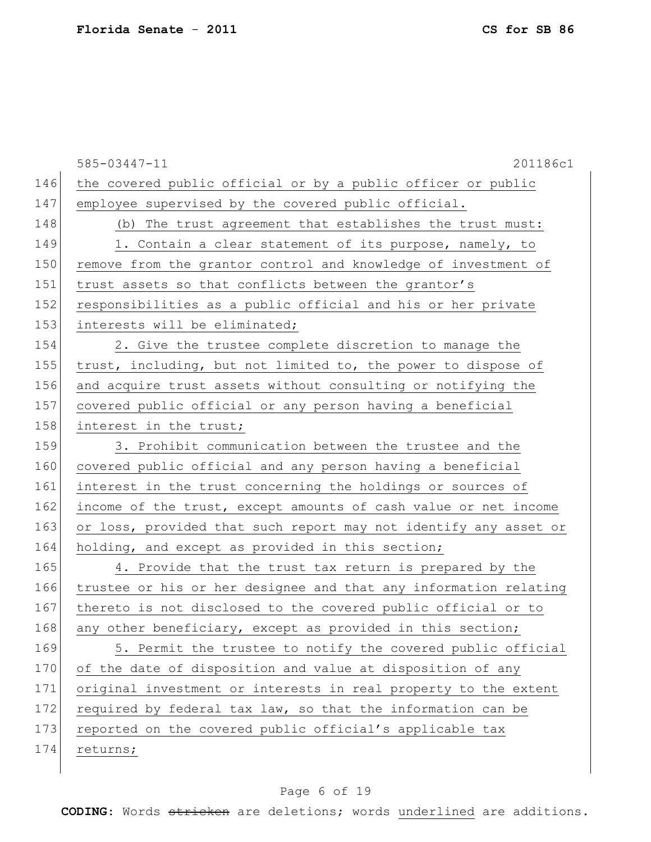|     | 585-03447-11<br>201186c1                                         |
|-----|------------------------------------------------------------------|
| 146 | the covered public official or by a public officer or public     |
| 147 | employee supervised by the covered public official.              |
| 148 | (b) The trust agreement that establishes the trust must:         |
| 149 | 1. Contain a clear statement of its purpose, namely, to          |
| 150 | remove from the grantor control and knowledge of investment of   |
| 151 | trust assets so that conflicts between the grantor's             |
| 152 | responsibilities as a public official and his or her private     |
| 153 | interests will be eliminated;                                    |
| 154 | 2. Give the trustee complete discretion to manage the            |
| 155 | trust, including, but not limited to, the power to dispose of    |
| 156 | and acquire trust assets without consulting or notifying the     |
| 157 | covered public official or any person having a beneficial        |
| 158 | interest in the trust;                                           |
| 159 | 3. Prohibit communication between the trustee and the            |
| 160 | covered public official and any person having a beneficial       |
| 161 | interest in the trust concerning the holdings or sources of      |
| 162 | income of the trust, except amounts of cash value or net income  |
| 163 | or loss, provided that such report may not identify any asset or |
| 164 | holding, and except as provided in this section;                 |
| 165 | 4. Provide that the trust tax return is prepared by the          |
| 166 | trustee or his or her designee and that any information relating |
| 167 | thereto is not disclosed to the covered public official or to    |
| 168 | any other beneficiary, except as provided in this section;       |
| 169 | 5. Permit the trustee to notify the covered public official      |
| 170 | of the date of disposition and value at disposition of any       |
| 171 | original investment or interests in real property to the extent  |
| 172 | required by federal tax law, so that the information can be      |
| 173 | reported on the covered public official's applicable tax         |
| 174 | returns;                                                         |
|     |                                                                  |

# Page 6 of 19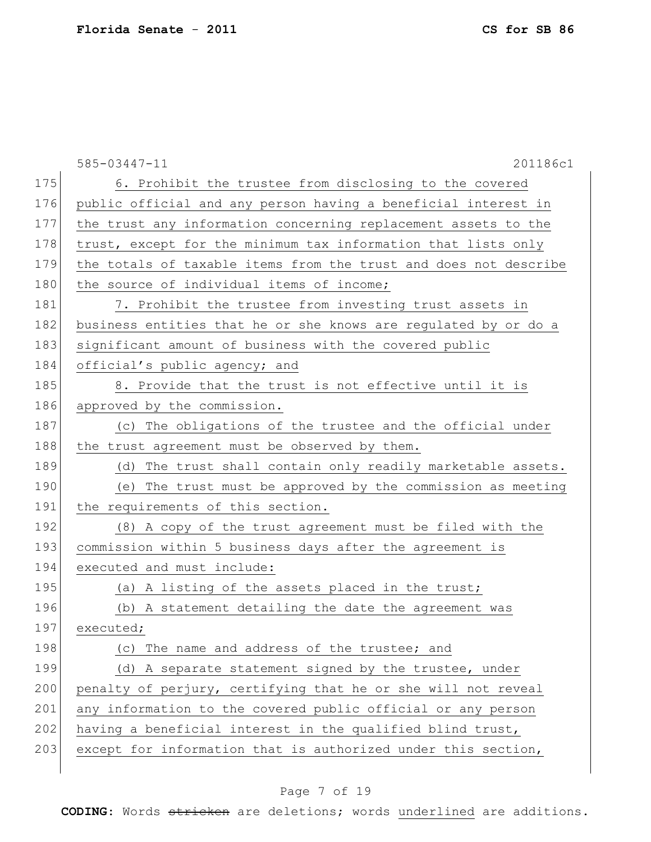585-03447-11 201186c1 175 6. Prohibit the trustee from disclosing to the covered 176 public official and any person having a beneficial interest in 177 the trust any information concerning replacement assets to the 178 trust, except for the minimum tax information that lists only 179 the totals of taxable items from the trust and does not describe 180 the source of individual items of income; 181 7. Prohibit the trustee from investing trust assets in 182 business entities that he or she knows are regulated by or do a 183 significant amount of business with the covered public 184 official's public agency; and  $185$  8. Provide that the trust is not effective until it is 186 approved by the commission. 187 (c) The obligations of the trustee and the official under 188 the trust agreement must be observed by them. 189 (d) The trust shall contain only readily marketable assets. 190 (e) The trust must be approved by the commission as meeting 191 the requirements of this section. 192 (8) A copy of the trust agreement must be filed with the 193 commission within 5 business days after the agreement is 194 executed and must include: 195 (a) A listing of the assets placed in the trust; 196 (b) A statement detailing the date the agreement was 197 executed; 198 (c) The name and address of the trustee; and 199 (d) A separate statement signed by the trustee, under 200 penalty of perjury, certifying that he or she will not reveal 201 any information to the covered public official or any person  $202$  having a beneficial interest in the qualified blind trust, 203 except for information that is authorized under this section,

## Page 7 of 19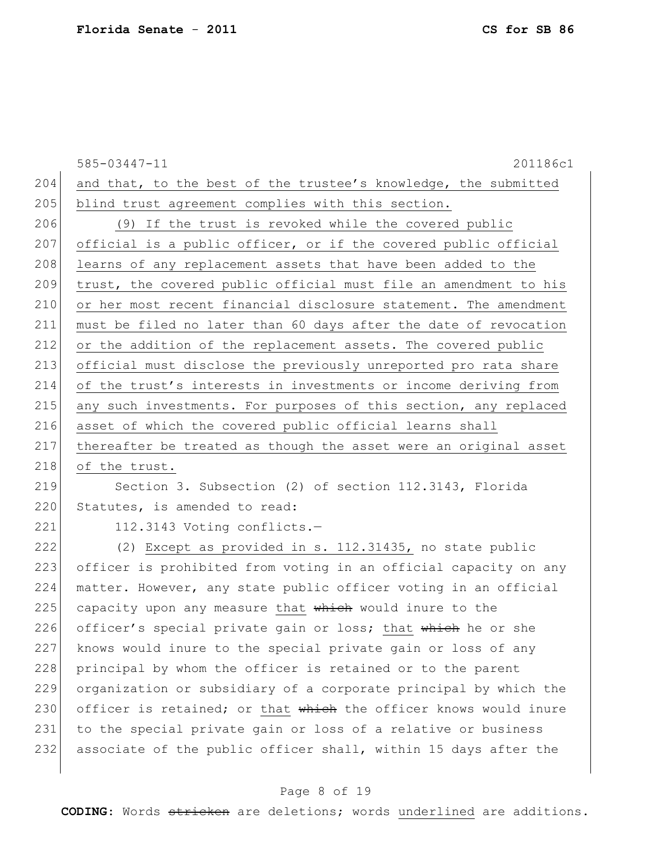585-03447-11 201186c1 204 and that, to the best of the trustee's knowledge, the submitted 205 blind trust agreement complies with this section. 206 (9) If the trust is revoked while the covered public 207 official is a public officer, or if the covered public official 208 learns of any replacement assets that have been added to the 209 trust, the covered public official must file an amendment to his 210 or her most recent financial disclosure statement. The amendment 211 must be filed no later than 60 days after the date of revocation 212 or the addition of the replacement assets. The covered public 213 official must disclose the previously unreported pro rata share 214 of the trust's interests in investments or income deriving from 215 any such investments. For purposes of this section, any replaced 216 asset of which the covered public official learns shall 217 thereafter be treated as though the asset were an original asset 218 of the trust.

# 219 Section 3. Subsection (2) of section 112.3143, Florida 220 Statutes, is amended to read:

221 112.3143 Voting conflicts.-

222 (2) Except as provided in s. 112.31435, no state public 223 officer is prohibited from voting in an official capacity on any 224 matter. However, any state public officer voting in an official  $225$  capacity upon any measure that which would inure to the 226 officer's special private gain or loss; that which he or she 227 knows would inure to the special private gain or loss of any 228 principal by whom the officer is retained or to the parent 229 organization or subsidiary of a corporate principal by which the 230 officer is retained; or that which the officer knows would inure 231 to the special private gain or loss of a relative or business 232 associate of the public officer shall, within 15 days after the

### Page 8 of 19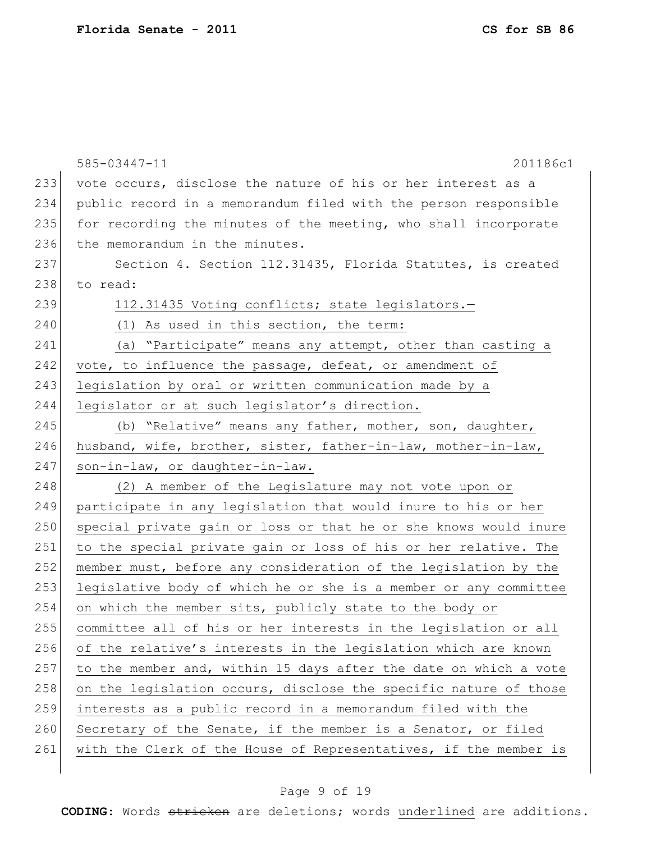|     | 585-03447-11<br>201186c1                                         |
|-----|------------------------------------------------------------------|
| 233 | vote occurs, disclose the nature of his or her interest as a     |
| 234 | public record in a memorandum filed with the person responsible  |
| 235 | for recording the minutes of the meeting, who shall incorporate  |
| 236 | the memorandum in the minutes.                                   |
| 237 | Section 4. Section 112.31435, Florida Statutes, is created       |
| 238 | to read:                                                         |
| 239 | 112.31435 Voting conflicts; state legislators.-                  |
| 240 | (1) As used in this section, the term:                           |
| 241 | (a) "Participate" means any attempt, other than casting a        |
| 242 | vote, to influence the passage, defeat, or amendment of          |
| 243 | legislation by oral or written communication made by a           |
| 244 | legislator or at such legislator's direction.                    |
| 245 | (b) "Relative" means any father, mother, son, daughter,          |
| 246 | husband, wife, brother, sister, father-in-law, mother-in-law,    |
| 247 | son-in-law, or daughter-in-law.                                  |
| 248 | (2) A member of the Legislature may not vote upon or             |
| 249 | participate in any legislation that would inure to his or her    |
| 250 | special private gain or loss or that he or she knows would inure |
| 251 | to the special private gain or loss of his or her relative. The  |
| 252 | member must, before any consideration of the legislation by the  |
| 253 | legislative body of which he or she is a member or any committee |
| 254 | on which the member sits, publicly state to the body or          |
| 255 | committee all of his or her interests in the legislation or all  |
| 256 | of the relative's interests in the legislation which are known   |
| 257 | to the member and, within 15 days after the date on which a vote |
| 258 | on the legislation occurs, disclose the specific nature of those |
| 259 | interests as a public record in a memorandum filed with the      |
| 260 | Secretary of the Senate, if the member is a Senator, or filed    |
| 261 | with the Clerk of the House of Representatives, if the member is |

# Page 9 of 19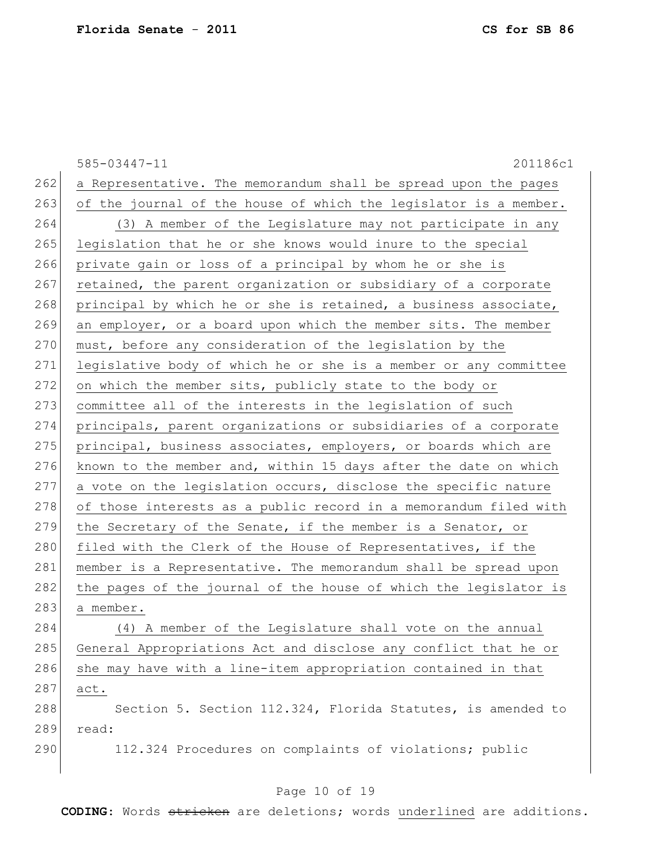585-03447-11 201186c1  $262$  a Representative. The memorandum shall be spread upon the pages  $263$  of the journal of the house of which the legislator is a member. 264 (3) A member of the Legislature may not participate in any 265 legislation that he or she knows would inure to the special 266 private gain or loss of a principal by whom he or she is 267 retained, the parent organization or subsidiary of a corporate 268 principal by which he or she is retained, a business associate, 269 an employer, or a board upon which the member sits. The member  $270$  must, before any consideration of the legislation by the 271 legislative body of which he or she is a member or any committee 272 on which the member sits, publicly state to the body or 273 committee all of the interests in the legislation of such 274 principals, parent organizations or subsidiaries of a corporate 275 principal, business associates, employers, or boards which are 276 known to the member and, within 15 days after the date on which  $277$  a vote on the legislation occurs, disclose the specific nature 278 of those interests as a public record in a memorandum filed with 279 the Secretary of the Senate, if the member is a Senator, or 280 filed with the Clerk of the House of Representatives, if the 281 | member is a Representative. The memorandum shall be spread upon 282 the pages of the journal of the house of which the legislator is 283 a member. 284 (4) A member of the Legislature shall vote on the annual 285 General Appropriations Act and disclose any conflict that he or  $286$  she may have with a line-item appropriation contained in that 287 act. 288 Section 5. Section 112.324, Florida Statutes, is amended to 289 read: 290 112.324 Procedures on complaints of violations; public

#### Page 10 of 19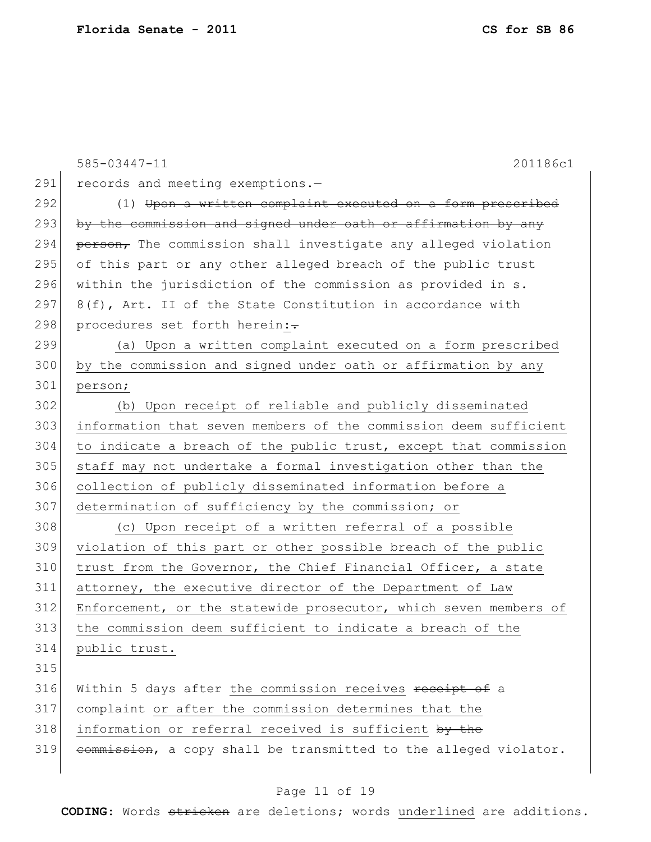|     | 585-03447-11<br>201186c1                                         |
|-----|------------------------------------------------------------------|
| 291 | records and meeting exemptions.-                                 |
| 292 | (1) Upon a written complaint executed on a form prescribed       |
| 293 | by the commission and signed under oath or affirmation by any    |
| 294 | person, The commission shall investigate any alleged violation   |
| 295 | of this part or any other alleged breach of the public trust     |
| 296 | within the jurisdiction of the commission as provided in s.      |
| 297 | 8(f), Art. II of the State Constitution in accordance with       |
| 298 | procedures set forth herein:-                                    |
| 299 | (a) Upon a written complaint executed on a form prescribed       |
| 300 | by the commission and signed under oath or affirmation by any    |
| 301 | person;                                                          |
| 302 | (b) Upon receipt of reliable and publicly disseminated           |
| 303 | information that seven members of the commission deem sufficient |
| 304 | to indicate a breach of the public trust, except that commission |
| 305 | staff may not undertake a formal investigation other than the    |
| 306 | collection of publicly disseminated information before a         |
| 307 | determination of sufficiency by the commission; or               |
| 308 | (c) Upon receipt of a written referral of a possible             |
| 309 | violation of this part or other possible breach of the public    |
| 310 | trust from the Governor, the Chief Financial Officer, a state    |
| 311 | attorney, the executive director of the Department of Law        |
| 312 | Enforcement, or the statewide prosecutor, which seven members of |
| 313 | the commission deem sufficient to indicate a breach of the       |
| 314 | public trust.                                                    |
| 315 |                                                                  |
| 316 | Within 5 days after the commission receives receipt of a         |
| 317 | complaint or after the commission determines that the            |
| 318 | information or referral received is sufficient by the            |
| 319 | commission, a copy shall be transmitted to the alleged violator. |
|     |                                                                  |

# Page 11 of 19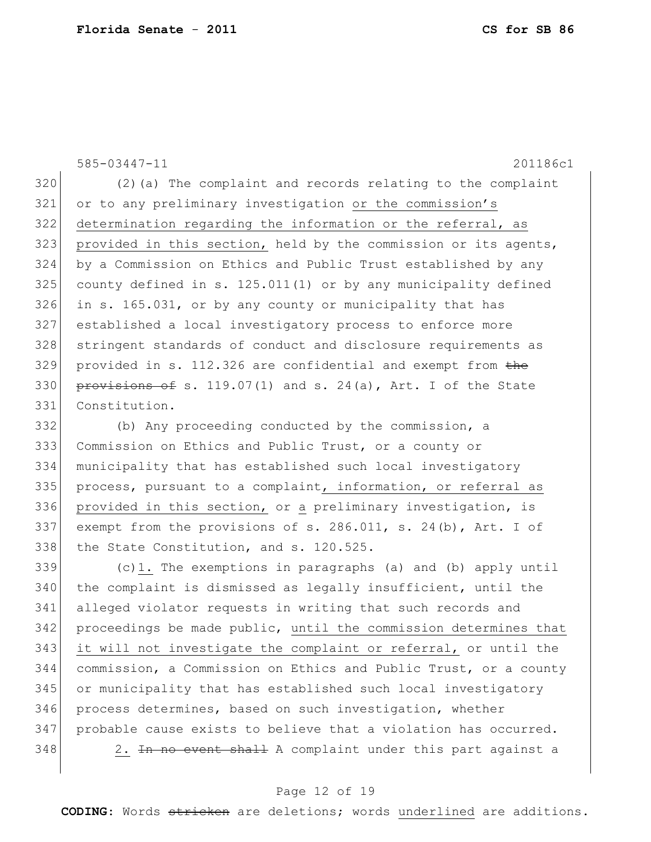585-03447-11 201186c1 (2)(a) The complaint and records relating to the complaint or to any preliminary investigation or the commission's 322 determination regarding the information or the referral, as 323 provided in this section, held by the commission or its agents, by a Commission on Ethics and Public Trust established by any county defined in s. 125.011(1) or by any municipality defined in s. 165.031, or by any county or municipality that has established a local investigatory process to enforce more stringent standards of conduct and disclosure requirements as provided in s. 112.326 are confidential and exempt from the 330 provisions of s. 119.07(1) and s. 24(a), Art. I of the State Constitution.

332 (b) Any proceeding conducted by the commission, a 333 Commission on Ethics and Public Trust, or a county or 334 municipality that has established such local investigatory 335 process, pursuant to a complaint, information, or referral as 336 provided in this section, or a preliminary investigation, is 337 exempt from the provisions of s. 286.011, s. 24(b), Art. I of 338 the State Constitution, and s. 120.525.

 $339$  (c)1. The exemptions in paragraphs (a) and (b) apply until 340 the complaint is dismissed as legally insufficient, until the 341 alleged violator requests in writing that such records and 342 proceedings be made public, until the commission determines that 343 it will not investigate the complaint or referral, or until the 344 commission, a Commission on Ethics and Public Trust, or a county 345 or municipality that has established such local investigatory 346 process determines, based on such investigation, whether 347 probable cause exists to believe that a violation has occurred. 348 2. In no event shall A complaint under this part against a

#### Page 12 of 19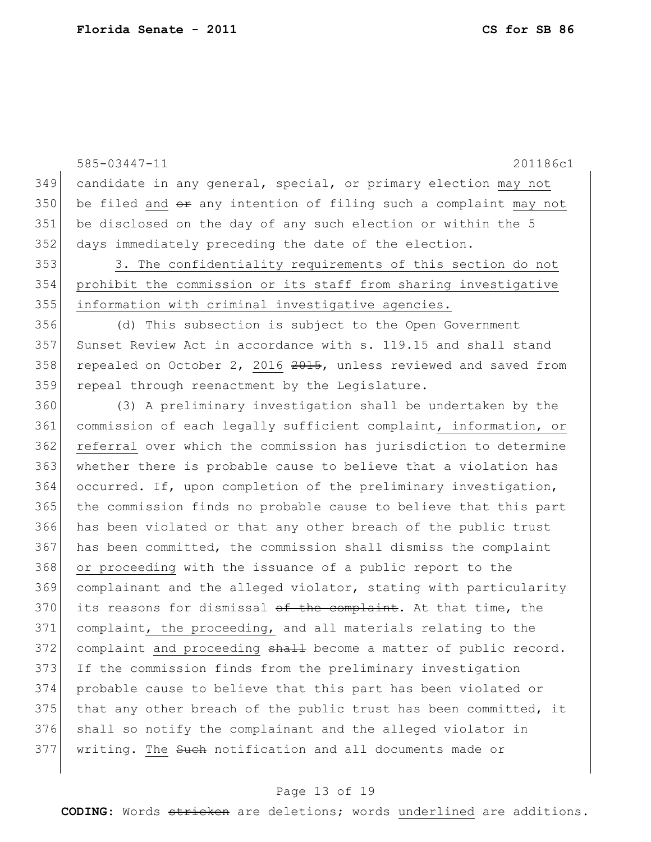585-03447-11 201186c1 candidate in any general, special, or primary election may not 350 be filed and  $\theta$  any intention of filing such a complaint may not be disclosed on the day of any such election or within the 5 days immediately preceding the date of the election. 3. The confidentiality requirements of this section do not prohibit the commission or its staff from sharing investigative information with criminal investigative agencies. (d) This subsection is subject to the Open Government 357 Sunset Review Act in accordance with  $s$ . 119.15 and shall stand 358 repealed on October 2, 2016 , unless reviewed and saved from 359 repeal through reenactment by the Legislature. (3) A preliminary investigation shall be undertaken by the commission of each legally sufficient complaint, information, or referral over which the commission has jurisdiction to determine whether there is probable cause to believe that a violation has 364 occurred. If, upon completion of the preliminary investigation, the commission finds no probable cause to believe that this part has been violated or that any other breach of the public trust has been committed, the commission shall dismiss the complaint or proceeding with the issuance of a public report to the complainant and the alleged violator, stating with particularity its reasons for dismissal of the complaint. At that time, the complaint, the proceeding, and all materials relating to the 372 complaint and proceeding shall become a matter of public record. If the commission finds from the preliminary investigation probable cause to believe that this part has been violated or 375 that any other breach of the public trust has been committed, it 376 shall so notify the complainant and the alleged violator in 377 | writing. The Such notification and all documents made or

#### Page 13 of 19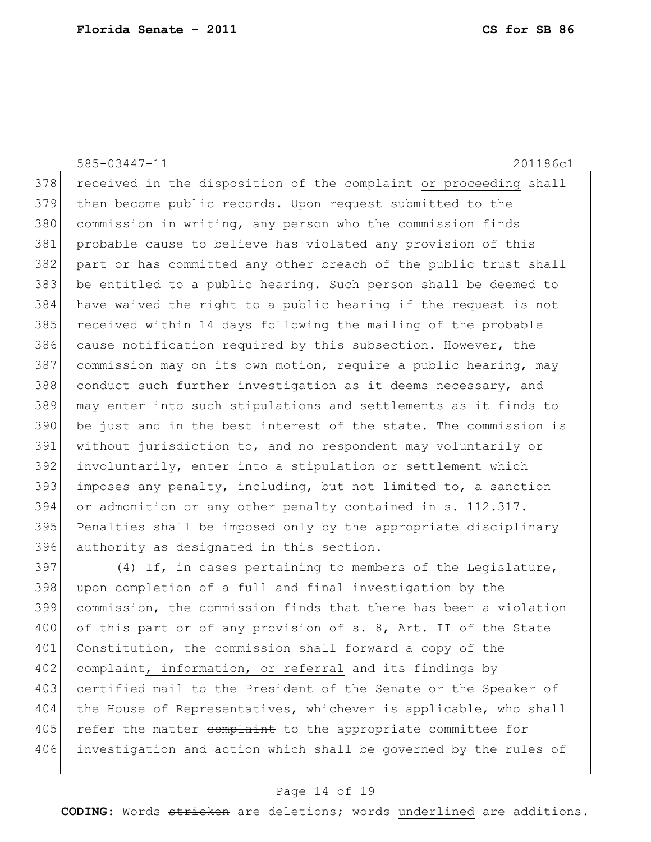585-03447-11 201186c1 378 received in the disposition of the complaint or proceeding shall then become public records. Upon request submitted to the 380 commission in writing, any person who the commission finds probable cause to believe has violated any provision of this part or has committed any other breach of the public trust shall be entitled to a public hearing. Such person shall be deemed to have waived the right to a public hearing if the request is not 385 received within 14 days following the mailing of the probable 386 cause notification required by this subsection. However, the 387 commission may on its own motion, require a public hearing, may conduct such further investigation as it deems necessary, and may enter into such stipulations and settlements as it finds to be just and in the best interest of the state. The commission is without jurisdiction to, and no respondent may voluntarily or 392 involuntarily, enter into a stipulation or settlement which imposes any penalty, including, but not limited to, a sanction or admonition or any other penalty contained in s. 112.317. Penalties shall be imposed only by the appropriate disciplinary authority as designated in this section.

 $397$  (4) If, in cases pertaining to members of the Legislature, 398 upon completion of a full and final investigation by the 399 commission, the commission finds that there has been a violation 400 of this part or of any provision of s. 8, Art. II of the State 401 Constitution, the commission shall forward a copy of the 402 complaint, information, or referral and its findings by 403 certified mail to the President of the Senate or the Speaker of 404 the House of Representatives, whichever is applicable, who shall 405 refer the matter complaint to the appropriate committee for 406 investigation and action which shall be governed by the rules of

#### Page 14 of 19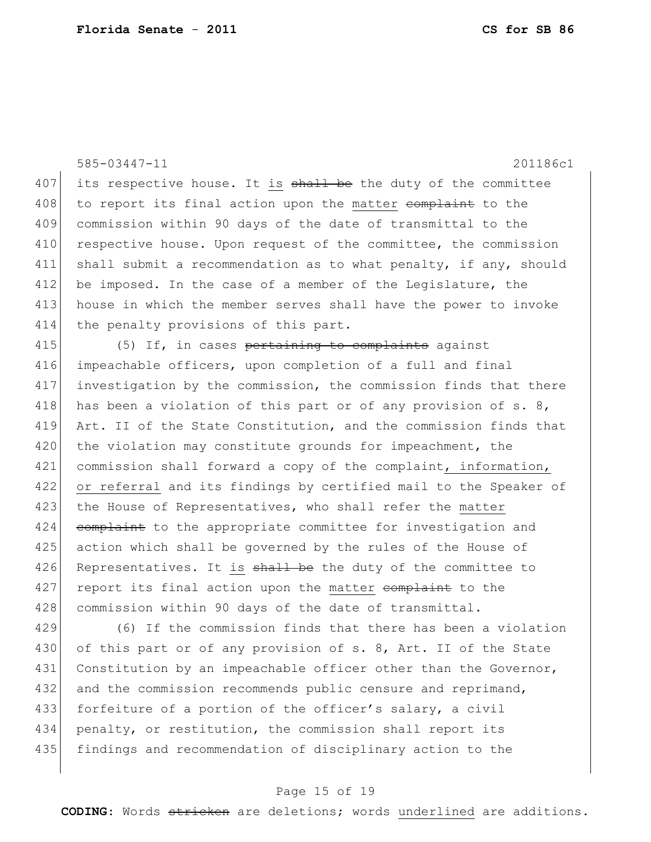585-03447-11 201186c1  $407$  its respective house. It is  $shall$  be the duty of the committee 408 to report its final action upon the matter complaint to the 409 commission within 90 days of the date of transmittal to the 410 respective house. Upon request of the committee, the commission 411 shall submit a recommendation as to what penalty, if any, should 412 be imposed. In the case of a member of the Legislature, the 413 house in which the member serves shall have the power to invoke 414 the penalty provisions of this part.  $415$  (5) If, in cases pertaining to complaints against 416 impeachable officers, upon completion of a full and final 417 investigation by the commission, the commission finds that there 418 has been a violation of this part or of any provision of  $s. 8$ , 419 Art. II of the State Constitution, and the commission finds that 420 the violation may constitute grounds for impeachment, the 421 commission shall forward a copy of the complaint, information, 422 or referral and its findings by certified mail to the Speaker of 423 the House of Representatives, who shall refer the matter 424 complaint to the appropriate committee for investigation and 425 action which shall be governed by the rules of the House of 426 Representatives. It is shall be the duty of the committee to 427 report its final action upon the matter complaint to the 428 commission within 90 days of the date of transmittal. 429 (6) If the commission finds that there has been a violation 430 of this part or of any provision of s. 8, Art. II of the State 431 Constitution by an impeachable officer other than the Governor, 432 and the commission recommends public censure and reprimand,

433 forfeiture of a portion of the officer's salary, a civil 434 penalty, or restitution, the commission shall report its 435 findings and recommendation of disciplinary action to the

#### Page 15 of 19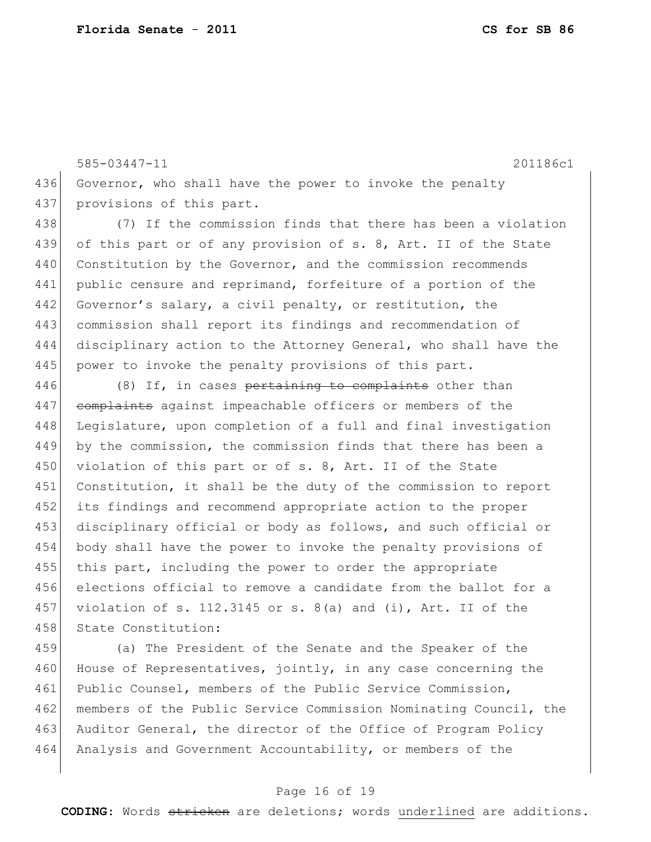437 provisions of this part.

585-03447-11 201186c1 436 Governor, who shall have the power to invoke the penalty

438 (7) If the commission finds that there has been a violation 439 of this part or of any provision of s. 8, Art. II of the State 440 Constitution by the Governor, and the commission recommends 441 public censure and reprimand, forfeiture of a portion of the 442 Governor's salary, a civil penalty, or restitution, the 443 commission shall report its findings and recommendation of 444 disciplinary action to the Attorney General, who shall have the 445 power to invoke the penalty provisions of this part.

446 (8) If, in cases pertaining to complaints other than 447 complaints against impeachable officers or members of the 448 Legislature, upon completion of a full and final investigation 449 by the commission, the commission finds that there has been a 450 violation of this part or of s. 8, Art. II of the State 451 Constitution, it shall be the duty of the commission to report 452 its findings and recommend appropriate action to the proper 453 disciplinary official or body as follows, and such official or 454 body shall have the power to invoke the penalty provisions of 455 this part, including the power to order the appropriate 456 elections official to remove a candidate from the ballot for a 457 violation of s. 112.3145 or s. 8(a) and (i), Art. II of the 458 State Constitution:

459 (a) The President of the Senate and the Speaker of the 460 House of Representatives, jointly, in any case concerning the 461 Public Counsel, members of the Public Service Commission, 462 members of the Public Service Commission Nominating Council, the 463 Auditor General, the director of the Office of Program Policy 464 Analysis and Government Accountability, or members of the

#### Page 16 of 19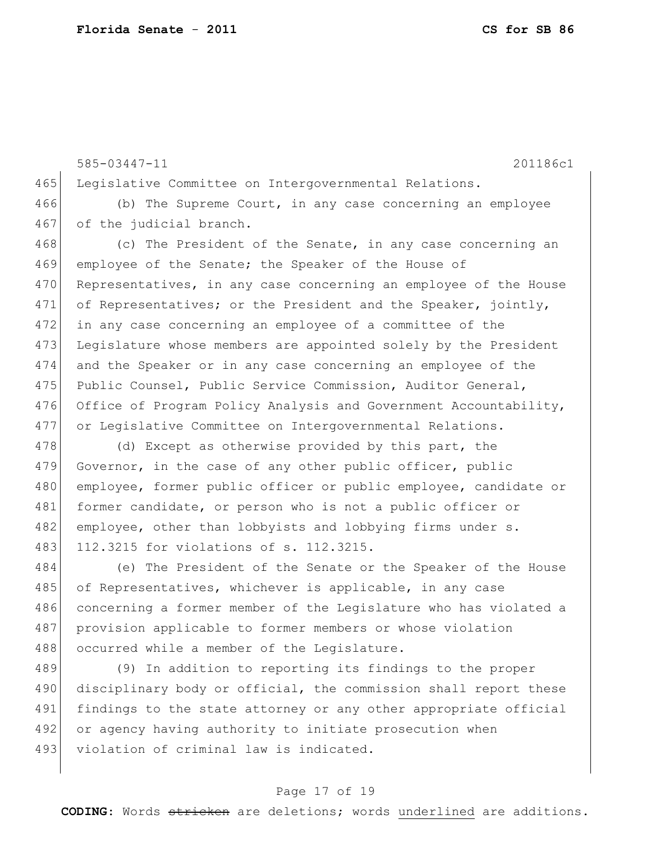585-03447-11 201186c1 465 Legislative Committee on Intergovernmental Relations. 466 (b) The Supreme Court, in any case concerning an employee 467 of the judicial branch. 468 (c) The President of the Senate, in any case concerning an 469 employee of the Senate; the Speaker of the House of 470 Representatives, in any case concerning an employee of the House 471 of Representatives; or the President and the Speaker, jointly, 472 in any case concerning an employee of a committee of the 473 Legislature whose members are appointed solely by the President 474 and the Speaker or in any case concerning an employee of the 475 Public Counsel, Public Service Commission, Auditor General, 476 Office of Program Policy Analysis and Government Accountability, 477 or Legislative Committee on Intergovernmental Relations.

478 (d) Except as otherwise provided by this part, the 479 Governor, in the case of any other public officer, public 480 employee, former public officer or public employee, candidate or 481 former candidate, or person who is not a public officer or 482 employee, other than lobbyists and lobbying firms under s. 483 112.3215 for violations of s. 112.3215.

484 (e) The President of the Senate or the Speaker of the House 485 of Representatives, whichever is applicable, in any case 486 concerning a former member of the Legislature who has violated a 487 provision applicable to former members or whose violation 488 occurred while a member of the Legislature.

489 (9) In addition to reporting its findings to the proper 490 disciplinary body or official, the commission shall report these 491 findings to the state attorney or any other appropriate official 492 or agency having authority to initiate prosecution when 493 violation of criminal law is indicated.

#### Page 17 of 19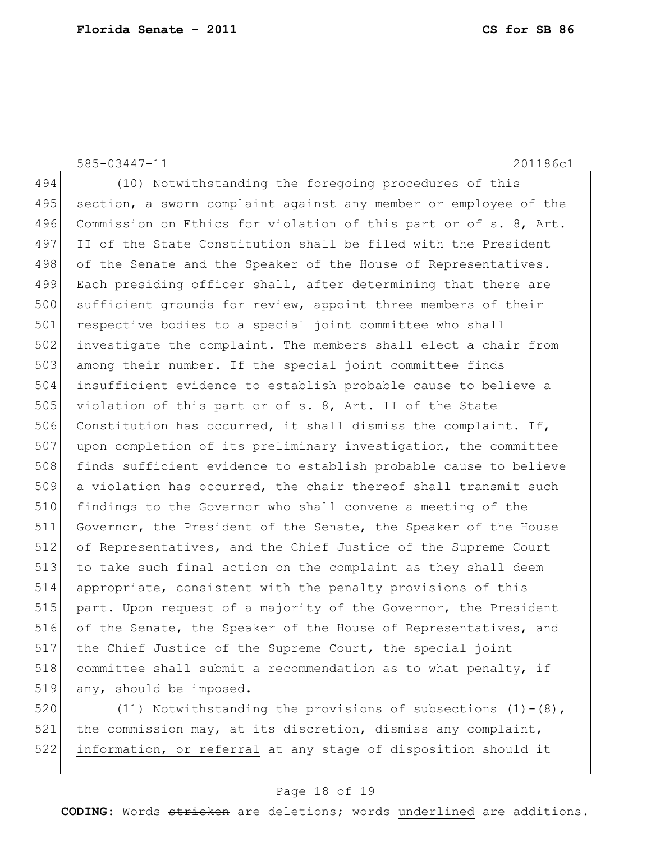585-03447-11 201186c1

494 (10) Notwithstanding the foregoing procedures of this 495 section, a sworn complaint against any member or employee of the 496 Commission on Ethics for violation of this part or of s. 8, Art. 497 II of the State Constitution shall be filed with the President 498 of the Senate and the Speaker of the House of Representatives. 499 Each presiding officer shall, after determining that there are 500 sufficient grounds for review, appoint three members of their 501 respective bodies to a special joint committee who shall 502 investigate the complaint. The members shall elect a chair from 503 among their number. If the special joint committee finds 504 insufficient evidence to establish probable cause to believe a 505 violation of this part or of s. 8, Art. II of the State 506 Constitution has occurred, it shall dismiss the complaint. If, 507 upon completion of its preliminary investigation, the committee 508 finds sufficient evidence to establish probable cause to believe 509 a violation has occurred, the chair thereof shall transmit such 510 findings to the Governor who shall convene a meeting of the 511 Governor, the President of the Senate, the Speaker of the House 512 of Representatives, and the Chief Justice of the Supreme Court 513 to take such final action on the complaint as they shall deem 514 appropriate, consistent with the penalty provisions of this 515 part. Upon request of a majority of the Governor, the President 516 of the Senate, the Speaker of the House of Representatives, and 517 the Chief Justice of the Supreme Court, the special joint 518 committee shall submit a recommendation as to what penalty, if 519 any, should be imposed.

520 (11) Notwithstanding the provisions of subsections  $(1)-(8)$ , 521 the commission may, at its discretion, dismiss any complaint, 522 information, or referral at any stage of disposition should it

#### Page 18 of 19